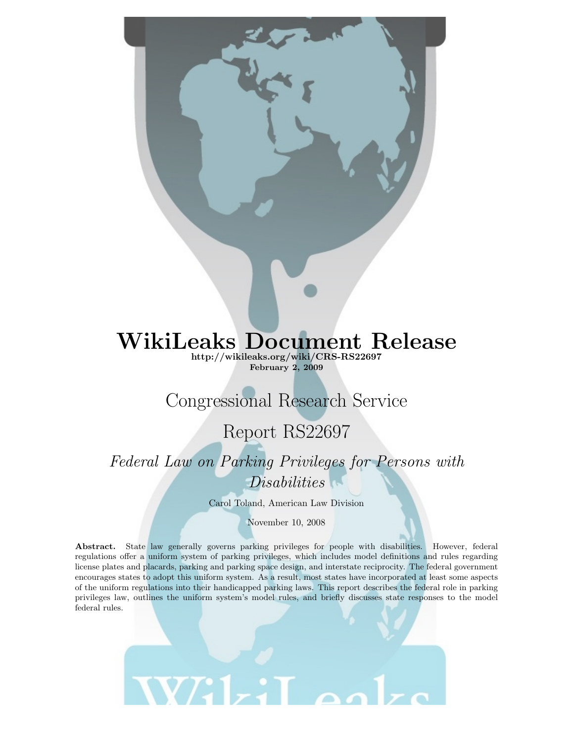# WikiLeaks Document Release

<http://wikileaks.org/wiki/CRS-RS22697> February 2, 2009

## Congressional Research Service

## Report RS22697

*Federal Law on Parking Privileges for Persons with Disabilities*

Carol Toland, American Law Division

November 10, 2008

Abstract. State law generally governs parking privileges for people with disabilities. However, federal regulations offer a uniform system of parking privileges, which includes model definitions and rules regarding license plates and placards, parking and parking space design, and interstate reciprocity. The federal government encourages states to adopt this uniform system. As a result, most states have incorporated at least some aspects of the uniform regulations into their handicapped parking laws. This report describes the federal role in parking privileges law, outlines the uniform system's model rules, and briefly discusses state responses to the model federal rules.

**WE1-**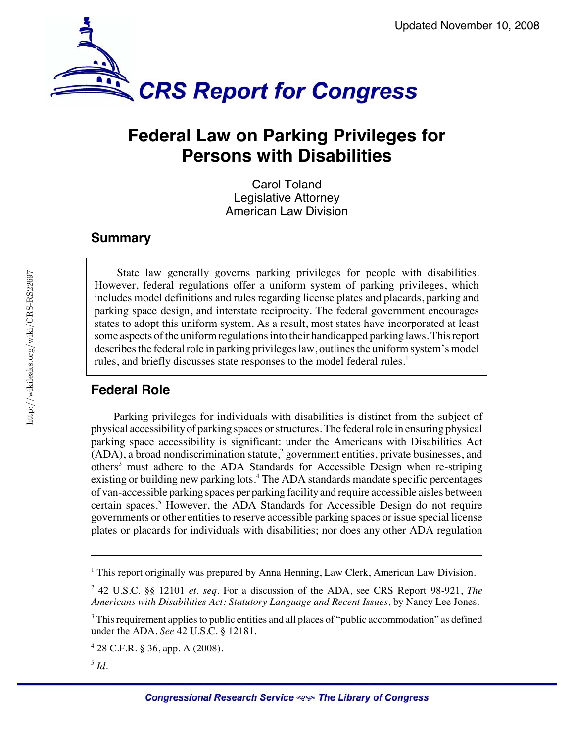

## **Federal Law on Parking Privileges for Persons with Disabilities**

Carol Toland Legislative Attorney American Law Division

### **Summary**

State law generally governs parking privileges for people with disabilities. However, federal regulations offer a uniform system of parking privileges, which includes model definitions and rules regarding license plates and placards, parking and parking space design, and interstate reciprocity. The federal government encourages states to adopt this uniform system. As a result, most states have incorporated at least some aspects of the uniform regulations into their handicapped parking laws. This report describes the federal role in parking privileges law, outlines the uniform system's model rules, and briefly discusses state responses to the model federal rules.<sup>1</sup>

### **Federal Role**

Parking privileges for individuals with disabilities is distinct from the subject of physical accessibility of parking spaces or structures. The federal role in ensuring physical parking space accessibility is significant: under the Americans with Disabilities Act  $(ADA)$ , a broad nondiscrimination statute,<sup>2</sup> government entities, private businesses, and others<sup>3</sup> must adhere to the ADA Standards for Accessible Design when re-striping existing or building new parking lots.<sup>4</sup> The ADA standards mandate specific percentages of van-accessible parking spaces per parking facility and require accessible aisles between certain spaces.<sup>5</sup> However, the ADA Standards for Accessible Design do not require governments or other entities to reserve accessible parking spaces or issue special license plates or placards for individuals with disabilities; nor does any other ADA regulation

<sup>&</sup>lt;sup>1</sup> This report originally was prepared by Anna Henning, Law Clerk, American Law Division.

<sup>2</sup> 42 U.S.C. §§ 12101 *et. seq.* For a discussion of the ADA, see CRS Report 98-921, *The Americans with Disabilities Act: Statutory Language and Recent Issues*, by Nancy Lee Jones.

 $^3$  This requirement applies to public entities and all places of "public accommodation" as defined under the ADA. *See* 42 U.S.C. § 12181.

<sup>4</sup> 28 C.F.R. § 36, app. A (2008).

<sup>5</sup> *Id.*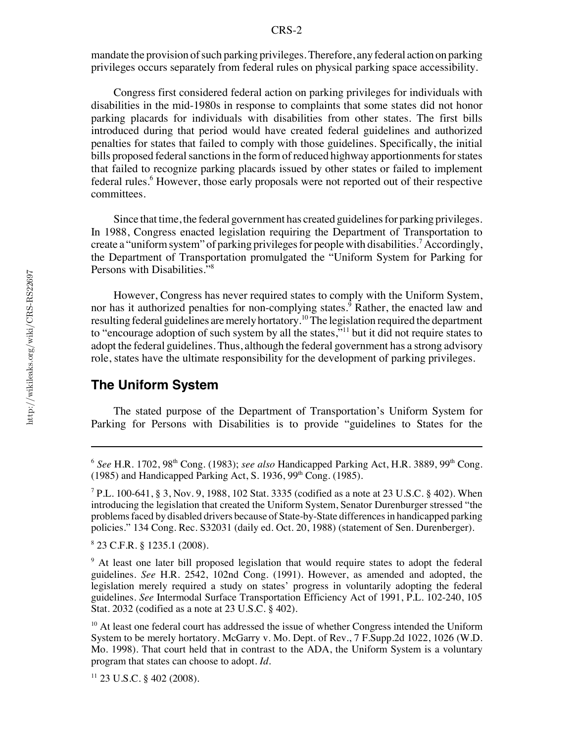mandate the provision of such parking privileges. Therefore, any federal action on parking privileges occurs separately from federal rules on physical parking space accessibility.

Congress first considered federal action on parking privileges for individuals with disabilities in the mid-1980s in response to complaints that some states did not honor parking placards for individuals with disabilities from other states. The first bills introduced during that period would have created federal guidelines and authorized penalties for states that failed to comply with those guidelines. Specifically, the initial bills proposed federal sanctions in the form of reduced highway apportionments for states that failed to recognize parking placards issued by other states or failed to implement federal rules.<sup>6</sup> However, those early proposals were not reported out of their respective committees.

Since that time, the federal government has created guidelines for parking privileges. In 1988, Congress enacted legislation requiring the Department of Transportation to create a "uniform system" of parking privileges for people with disabilities.<sup>7</sup> Accordingly, the Department of Transportation promulgated the "Uniform System for Parking for Persons with Disabilities."<sup>8</sup>

However, Congress has never required states to comply with the Uniform System, nor has it authorized penalties for non-complying states.<sup>9</sup> Rather, the enacted law and resulting federal guidelines are merely hortatory.<sup>10</sup> The legislation required the department to "encourage adoption of such system by all the states,"<sup>11</sup> but it did not require states to adopt the federal guidelines. Thus, although the federal government has a strong advisory role, states have the ultimate responsibility for the development of parking privileges.

#### **The Uniform System**

The stated purpose of the Department of Transportation's Uniform System for Parking for Persons with Disabilities is to provide "guidelines to States for the

8 23 C.F.R. § 1235.1 (2008).

<sup>9</sup> At least one later bill proposed legislation that would require states to adopt the federal guidelines. *See* H.R. 2542, 102nd Cong. (1991). However, as amended and adopted, the legislation merely required a study on states' progress in voluntarily adopting the federal guidelines. *See* Intermodal Surface Transportation Efficiency Act of 1991, P.L. 102-240, 105 Stat. 2032 (codified as a note at 23 U.S.C. § 402).

 $10<sup>10</sup>$  At least one federal court has addressed the issue of whether Congress intended the Uniform System to be merely hortatory. McGarry v. Mo. Dept. of Rev., 7 F.Supp.2d 1022, 1026 (W.D. Mo. 1998). That court held that in contrast to the ADA, the Uniform System is a voluntary program that states can choose to adopt. *Id.*

 $11$  23 U.S.C. § 402 (2008).

<sup>&</sup>lt;sup>6</sup> See H.R. 1702, 98<sup>th</sup> Cong. (1983); *see also* Handicapped Parking Act, H.R. 3889, 99<sup>th</sup> Cong. (1985) and Handicapped Parking Act, S. 1936, 99<sup>th</sup> Cong. (1985).

<sup>7</sup> P.L. 100-641, § 3, Nov. 9, 1988, 102 Stat. 3335 (codified as a note at 23 U.S.C. § 402). When introducing the legislation that created the Uniform System, Senator Durenburger stressed "the problems faced by disabled drivers because of State-by-State differences in handicapped parking policies." 134 Cong. Rec. S32031 (daily ed. Oct. 20, 1988) (statement of Sen. Durenberger).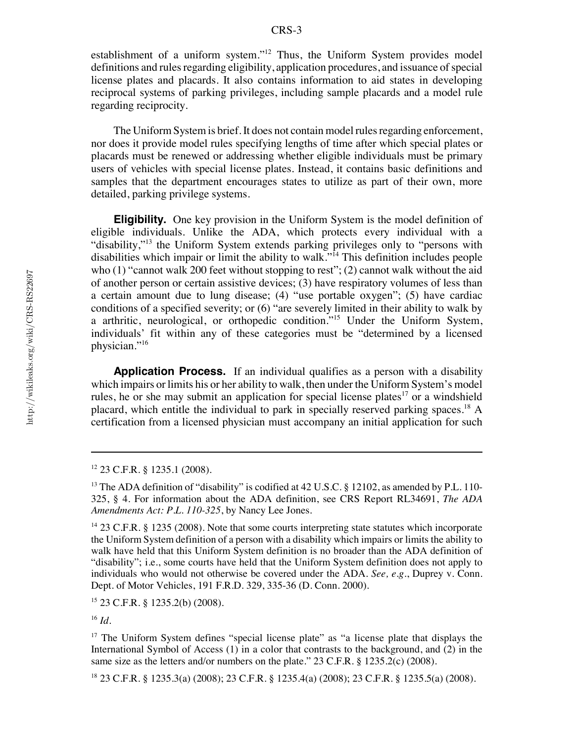establishment of a uniform system."12 Thus, the Uniform System provides model definitions and rules regarding eligibility, application procedures, and issuance of special license plates and placards. It also contains information to aid states in developing reciprocal systems of parking privileges, including sample placards and a model rule regarding reciprocity.

The Uniform System is brief. It does not contain model rules regarding enforcement, nor does it provide model rules specifying lengths of time after which special plates or placards must be renewed or addressing whether eligible individuals must be primary users of vehicles with special license plates. Instead, it contains basic definitions and samples that the department encourages states to utilize as part of their own, more detailed, parking privilege systems.

**Eligibility.** One key provision in the Uniform System is the model definition of eligible individuals. Unlike the ADA, which protects every individual with a "disability,"<sup>13</sup> the Uniform System extends parking privileges only to "persons with disabilities which impair or limit the ability to walk."<sup>14</sup> This definition includes people who (1) "cannot walk 200 feet without stopping to rest"; (2) cannot walk without the aid of another person or certain assistive devices; (3) have respiratory volumes of less than a certain amount due to lung disease; (4) "use portable oxygen"; (5) have cardiac conditions of a specified severity; or (6) "are severely limited in their ability to walk by a arthritic, neurological, or orthopedic condition."15 Under the Uniform System, individuals' fit within any of these categories must be "determined by a licensed physician."<sup>16</sup>

**Application Process.** If an individual qualifies as a person with a disability which impairs or limits his or her ability to walk, then under the Uniform System's model rules, he or she may submit an application for special license plates<sup>17</sup> or a windshield placard, which entitle the individual to park in specially reserved parking spaces.18 A certification from a licensed physician must accompany an initial application for such

 $14$  23 C.F.R. § 1235 (2008). Note that some courts interpreting state statutes which incorporate the Uniform System definition of a person with a disability which impairs or limits the ability to walk have held that this Uniform System definition is no broader than the ADA definition of "disability"; i.e., some courts have held that the Uniform System definition does not apply to individuals who would not otherwise be covered under the ADA. *See, e.g.*, Duprey v. Conn. Dept. of Motor Vehicles, 191 F.R.D. 329, 335-36 (D. Conn. 2000).

15 23 C.F.R. § 1235.2(b) (2008).

<sup>16</sup> *Id.*

<sup>17</sup> The Uniform System defines "special license plate" as "a license plate that displays the International Symbol of Access (1) in a color that contrasts to the background, and (2) in the same size as the letters and/or numbers on the plate." 23 C.F.R. § 1235.2(c) (2008).

18 23 C.F.R. § 1235.3(a) (2008); 23 C.F.R. § 1235.4(a) (2008); 23 C.F.R. § 1235.5(a) (2008).

<sup>12 23</sup> C.F.R. § 1235.1 (2008).

<sup>&</sup>lt;sup>13</sup> The ADA definition of "disability" is codified at 42 U.S.C. § 12102, as amended by P.L. 110-325, § 4. For information about the ADA definition, see CRS Report RL34691, *The ADA Amendments Act: P.L. 110-325*, by Nancy Lee Jones.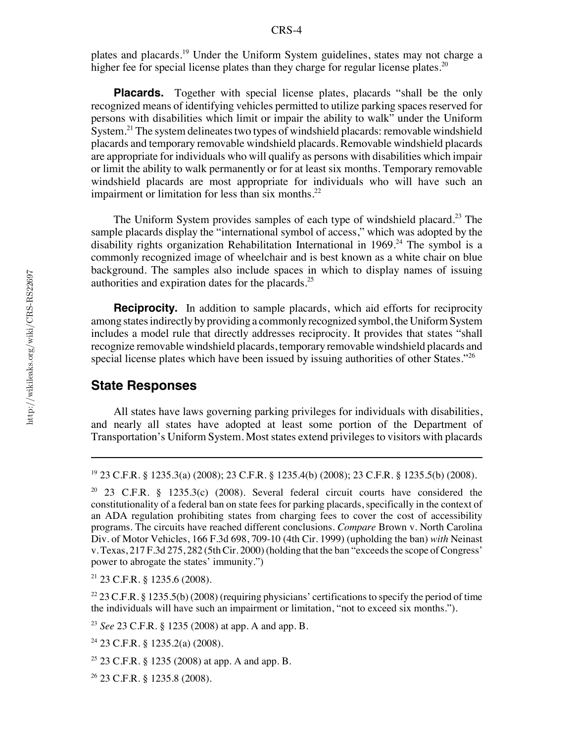plates and placards.19 Under the Uniform System guidelines, states may not charge a higher fee for special license plates than they charge for regular license plates.<sup>20</sup>

**Placards.** Together with special license plates, placards "shall be the only recognized means of identifying vehicles permitted to utilize parking spaces reserved for persons with disabilities which limit or impair the ability to walk" under the Uniform System.<sup>21</sup> The system delineates two types of windshield placards: removable windshield placards and temporary removable windshield placards. Removable windshield placards are appropriate for individuals who will qualify as persons with disabilities which impair or limit the ability to walk permanently or for at least six months. Temporary removable windshield placards are most appropriate for individuals who will have such an impairment or limitation for less than six months. $22$ 

The Uniform System provides samples of each type of windshield placard.<sup>23</sup> The sample placards display the "international symbol of access," which was adopted by the disability rights organization Rehabilitation International in  $1969.^{24}$  The symbol is a commonly recognized image of wheelchair and is best known as a white chair on blue background. The samples also include spaces in which to display names of issuing authorities and expiration dates for the placards.25

**Reciprocity.** In addition to sample placards, which aid efforts for reciprocity among states indirectly by providing a commonly recognized symbol, the Uniform System includes a model rule that directly addresses reciprocity. It provides that states "shall recognize removable windshield placards, temporary removable windshield placards and special license plates which have been issued by issuing authorities of other States."<sup>26</sup>

### **State Responses**

All states have laws governing parking privileges for individuals with disabilities, and nearly all states have adopted at least some portion of the Department of Transportation's Uniform System. Most states extend privileges to visitors with placards

20 23 C.F.R. § 1235.3(c) (2008). Several federal circuit courts have considered the constitutionality of a federal ban on state fees for parking placards, specifically in the context of an ADA regulation prohibiting states from charging fees to cover the cost of accessibility programs. The circuits have reached different conclusions. *Compare* Brown v. North Carolina Div. of Motor Vehicles, 166 F.3d 698, 709-10 (4th Cir. 1999) (upholding the ban) *with* Neinast v. Texas, 217 F.3d 275, 282 (5th Cir. 2000) (holding that the ban "exceeds the scope of Congress' power to abrogate the states' immunity.")

21 23 C.F.R. § 1235.6 (2008).

<sup>22</sup> 23 C.F.R. § 1235.5(b) (2008) (requiring physicians' certifications to specify the period of time the individuals will have such an impairment or limitation, "not to exceed six months.").

<sup>23</sup> *See* 23 C.F.R. § 1235 (2008) at app. A and app. B.

<sup>19 23</sup> C.F.R. § 1235.3(a) (2008); 23 C.F.R. § 1235.4(b) (2008); 23 C.F.R. § 1235.5(b) (2008).

 $24$  23 C.F.R. § 1235.2(a) (2008).

 $25$  23 C.F.R. § 1235 (2008) at app. A and app. B.

<sup>26 23</sup> C.F.R. § 1235.8 (2008).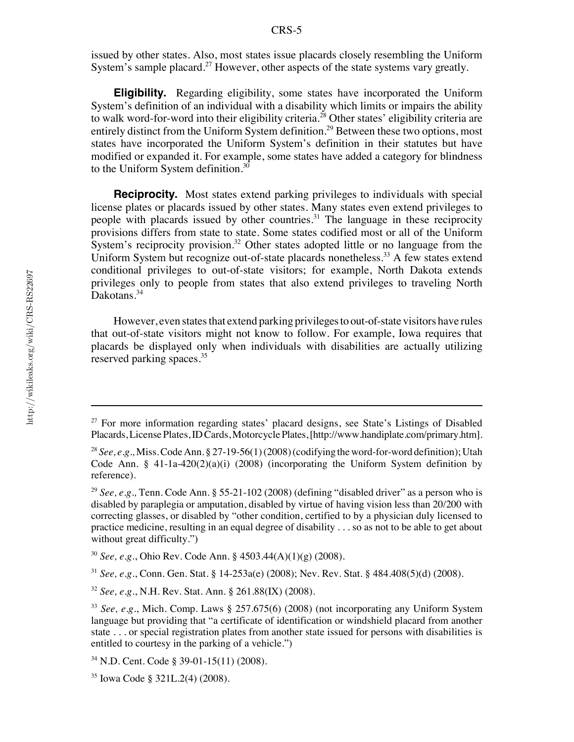issued by other states. Also, most states issue placards closely resembling the Uniform System's sample placard.<sup>27</sup> However, other aspects of the state systems vary greatly.

**Eligibility.** Regarding eligibility, some states have incorporated the Uniform System's definition of an individual with a disability which limits or impairs the ability to walk word-for-word into their eligibility criteria.<sup>28</sup> Other states' eligibility criteria are entirely distinct from the Uniform System definition.<sup>29</sup> Between these two options, most states have incorporated the Uniform System's definition in their statutes but have modified or expanded it. For example, some states have added a category for blindness to the Uniform System definition. $30$ 

**Reciprocity.** Most states extend parking privileges to individuals with special license plates or placards issued by other states. Many states even extend privileges to people with placards issued by other countries.<sup>31</sup> The language in these reciprocity provisions differs from state to state. Some states codified most or all of the Uniform System's reciprocity provision.<sup>32</sup> Other states adopted little or no language from the Uniform System but recognize out-of-state placards nonetheless.<sup>33</sup> A few states extend conditional privileges to out-of-state visitors; for example, North Dakota extends privileges only to people from states that also extend privileges to traveling North Dakotans.<sup>34</sup>

However, even states that extend parking privileges to out-of-state visitors have rules that out-of-state visitors might not know to follow. For example, Iowa requires that placards be displayed only when individuals with disabilities are actually utilizing reserved parking spaces.<sup>35</sup>

 $27$  For more information regarding states' placard designs, see State's Listings of Disabled Placards, License Plates, ID Cards, Motorcycle Plates, [http://www.handiplate.com/primary.htm].

<sup>28</sup> *See, e.g.,* Miss. Code Ann. § 27-19-56(1) (2008) (codifying the word-for-word definition); Utah Code Ann. § 41-1a-420(2)(a)(i) (2008) (incorporating the Uniform System definition by reference).

<sup>29</sup> *See, e.g.,* Tenn. Code Ann. § 55-21-102 (2008) (defining "disabled driver" as a person who is disabled by paraplegia or amputation, disabled by virtue of having vision less than 20/200 with correcting glasses, or disabled by "other condition, certified to by a physician duly licensed to practice medicine, resulting in an equal degree of disability . . . so as not to be able to get about without great difficulty.")

<sup>30</sup> *See, e.g.*, Ohio Rev. Code Ann. § 4503.44(A)(1)(g) (2008).

<sup>31</sup> *See, e.g.*, Conn. Gen. Stat. § 14-253a(e) (2008); Nev. Rev. Stat. § 484.408(5)(d) (2008).

<sup>32</sup> *See, e.g.*, N.H. Rev. Stat. Ann. § 261.88(IX) (2008).

<sup>33</sup> *See, e.g.*, Mich. Comp. Laws § 257.675(6) (2008) (not incorporating any Uniform System language but providing that "a certificate of identification or windshield placard from another state . . . or special registration plates from another state issued for persons with disabilities is entitled to courtesy in the parking of a vehicle.")

<sup>34</sup> N.D. Cent. Code § 39-01-15(11) (2008).

<sup>35</sup> Iowa Code § 321L.2(4) (2008).